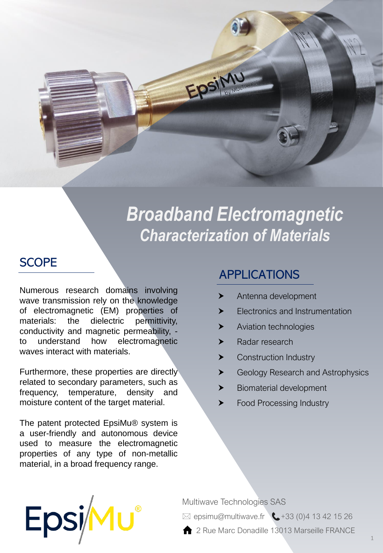

# *Broadband Electromagnetic Characterization of Materials*

### **SCOPE**

Numerous research domains involving wave transmission rely on the knowledge of electromagnetic (EM) properties of materials: the dielectric permittivity, conductivity and magnetic permeability, to understand how electromagnetic waves interact with materials.

Furthermore, these properties are directly related to secondary parameters, such as frequency, temperature, density and moisture content of the target material.

The patent protected EpsiMu® system is a user-friendly and autonomous device used to measure the electromagnetic properties of any type of non-metallic material, in a broad frequency range.

Epsi

# APPLICATIONS

- Antenna development
- Electronics and Instrumentation
- **Aviation technologies**
- > Radar research
- ▶ Construction Industry
- ▶ Geology Research and Astrophysics
- Biomaterial development
- **Example Processing Industry**

Multiwave Technologies SAS



2 Rue Marc Donadille 13013 Marseille FRANCE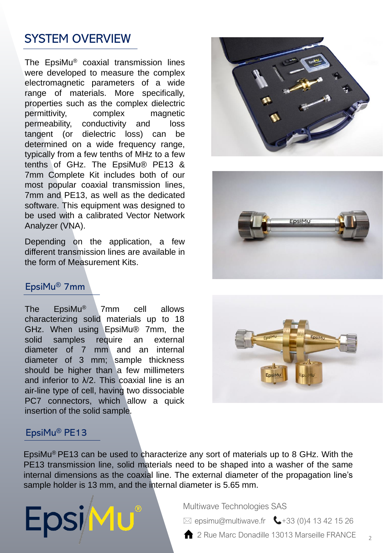# SYSTEM OVERVIEW

The EpsiMu® coaxial transmission lines were developed to measure the complex electromagnetic parameters of a wide range of materials. More specifically, properties such as the complex dielectric permittivity, complex magnetic permeability, conductivity and loss tangent (or dielectric loss) can be determined on a wide frequency range, typically from a few tenths of MHz to a few tenths of GHz. The EpsiMu® PE13 & 7mm Complete Kit includes both of our most popular coaxial transmission lines, 7mm and PE13, as well as the dedicated software. This equipment was designed to be used with a calibrated Vector Network Analyzer (VNA).

Depending on the application, a few different transmission lines are available in the form of Measurement Kits.

# EpsiMu® 7mm

The EpsiMu® 7mm cell allows characterizing solid materials up to 18 GHz. When using EpsiMu® 7mm, the solid samples require an external diameter of 7 mm and an internal diameter of 3 mm; sample thickness should be higher than a few millimeters and inferior to λ/2. This coaxial line is an air-line type of cell, having two dissociable PC7 connectors, which allow a quick insertion of the solid sample*.*

#### EpsiMu® PE13

**EpsiMu** 

EpsiMu<sup>®</sup> PE13 can be used to characterize any sort of materials up to 8 GHz. With the PE13 transmission line, solid materials need to be shaped into a washer of the same internal dimensions as the coaxial line. The external diameter of the propagation line's sample holder is 13 mm, and the internal diameter is 5.65 mm.

Multiwave Technologies SAS

 $\boxtimes$  epsimu@multiwave.fr  $\bigcup$  +33 (0)4 13 42 15 26

2 Rue Marc Donadille 13013 Marseille FRANCE

 $\overline{2}$ 





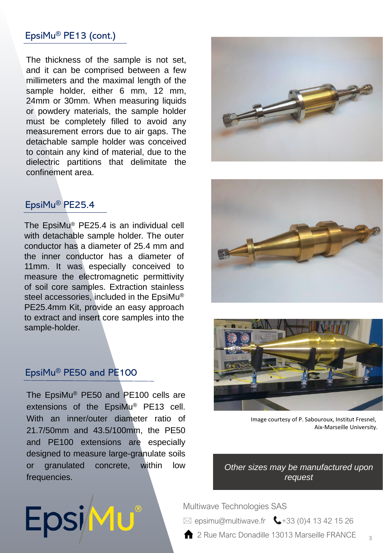#### EpsiMu® PE13 (cont.)

The thickness of the sample is not set, and it can be comprised between a few millimeters and the maximal length of the sample holder, either 6 mm, 12 mm, 24mm or 30mm. When measuring liquids or powdery materials, the sample holder must be completely filled to avoid any measurement errors due to air gaps. The detachable sample holder was conceived to contain any kind of material, due to the dielectric partitions that delimitate the confinement area.

#### EpsiMu® PE25.4

The EpsiMu® PE25.4 is an individual cell with detachable sample holder. The outer conductor has a diameter of 25.4 mm and the inner conductor has a diameter of 11mm. It was especially conceived to measure the electromagnetic permittivity of soil core samples. Extraction stainless steel accessories, included in the EpsiMu® PE25.4mm Kit, provide an easy approach to extract and insert core samples into the sample-holder.

#### EpsiMu® PE50 and PE100

Epsimu®

The EpsiMu® PE50 and PE100 cells are extensions of the EpsiMu® PE13 cell. With an inner/outer diameter ratio of 21.7/50mm and 43.5/100mm, the PE50 and PE100 extensions are especially designed to measure large-granulate soils or granulated concrete, within low frequencies.







Image courtesy of P. Sabouroux, Institut Fresnel, Aix-Marseille University.

3

*Other sizes may be manufactured upon request* 

Multiwave Technologies SAS

 $\boxtimes$  epsimu@multiwave.fr  $\bigcup$  +33 (0)4 13 42 15 26

**2** Rue Marc Donadille 13013 Marseille FRANCE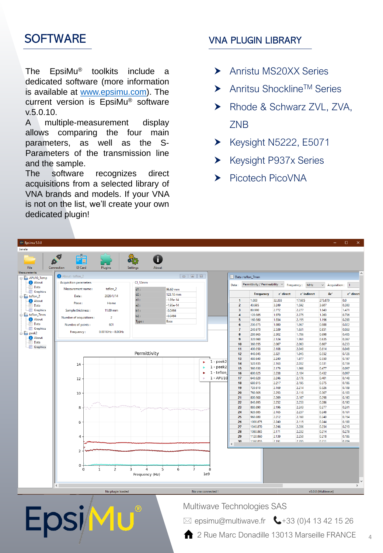# **SOFTWARE**

The EpsiMu® toolkits include a dedicated software (more information is available at [www.epsimu.com\)](http://www.epsimu.com/). The current version is EpsiMu® software v.5.0.10.

A multiple-measurement display allows comparing the four main parameters, as well as the S-Parameters of the transmission line and the sample.

The software recognizes direct acquisitions from a selected library of VNA brands and models. If your VNA is not on the list, we'll create your own dedicated plugin!

#### VNA PLUGIN LIBRARY

- Anristu MS20XX Series
- ▶ Anritsu Shockline<sup>TM</sup> Series
- ▶ Rhode & Schwarz ZVL, ZVA, ZNB
- $\blacktriangleright$  Keysight N5222, E5071
- Keysight P937x Series
- Picotech PicoVNA

| M Epsimu 5.0.8                     |                               |                                |                          |                                                                                                                                                                                                                                                                                                                                                                                                                                                                    |                   |                                                             |                                           |                      |                        |                                |                    | $\times$<br>$\Box$ |
|------------------------------------|-------------------------------|--------------------------------|--------------------------|--------------------------------------------------------------------------------------------------------------------------------------------------------------------------------------------------------------------------------------------------------------------------------------------------------------------------------------------------------------------------------------------------------------------------------------------------------------------|-------------------|-------------------------------------------------------------|-------------------------------------------|----------------------|------------------------|--------------------------------|--------------------|--------------------|
| Janela                             |                               |                                |                          |                                                                                                                                                                                                                                                                                                                                                                                                                                                                    |                   |                                                             |                                           |                      |                        |                                |                    |                    |
|                                    |                               |                                |                          |                                                                                                                                                                                                                                                                                                                                                                                                                                                                    |                   |                                                             |                                           |                      |                        |                                |                    |                    |
|                                    |                               |                                | i                        |                                                                                                                                                                                                                                                                                                                                                                                                                                                                    |                   |                                                             |                                           |                      |                        |                                |                    |                    |
| File                               | <b>ID Card</b><br>Connection  | Plugins                        | <b>Settings</b><br>About |                                                                                                                                                                                                                                                                                                                                                                                                                                                                    |                   |                                                             |                                           |                      |                        |                                |                    |                    |
| <b>Measurements</b>                | About : teflon_2              |                                |                          |                                                                                                                                                                                                                                                                                                                                                                                                                                                                    |                   |                                                             |                                           |                      |                        |                                |                    |                    |
| APU10_Temp                         |                               |                                |                          | $\begin{array}{c c c c c c} \hline \multicolumn{3}{c }{\textbf{I}} & \multicolumn{3}{c }{\textbf{I}} & \multicolumn{3}{c }{\textbf{I}} & \multicolumn{3}{c }{\textbf{I}} & \multicolumn{3}{c }{\textbf{II}} & \multicolumn{3}{c }{\textbf{III}} & \multicolumn{3}{c }{\textbf{III}} & \multicolumn{3}{c }{\textbf{III}} & \multicolumn{3}{c }{\textbf{III}} & \multicolumn{3}{c }{\textbf{III}} & \multicolumn{3}{c }{\textbf{III}} & \multicolumn{3}{c }{\textbf$ |                   |                                                             | Data: teflon 7mm                          |                      |                        |                                |                    |                    |
| <b>O</b> About<br>Data             | <b>Acquisition parameters</b> |                                | Cl_12mm                  |                                                                                                                                                                                                                                                                                                                                                                                                                                                                    |                   | Permittivity / Permeability v<br>MHz<br>Data:<br>Frequency: |                                           |                      |                        | $\checkmark$<br>Acquisition: 1 |                    |                    |
| <b>Graphics</b>                    | Measurement name:<br>teflon_2 |                                | $d1$ :                   | 96.60 mm                                                                                                                                                                                                                                                                                                                                                                                                                                                           |                   |                                                             |                                           |                      |                        |                                |                    |                    |
| $\mathbf{f} = \mathbf{f}$ teflon 2 | Date:                         | 2020/1/14                      | d2:                      | 123.10 mm                                                                                                                                                                                                                                                                                                                                                                                                                                                          |                   |                                                             |                                           | <b>Frequency</b>     | $\varepsilon$ ' direct | $\varepsilon$ ' indirect       | $\delta \epsilon'$ | ε" direct          |
| <b>About</b>                       | Place:                        | Home                           | a1:                      | $-1.95e-14$                                                                                                                                                                                                                                                                                                                                                                                                                                                        |                   |                                                             | $\mathbf{1}$                              | 1.000                | 32.333                 | 17.605                         | 275.879            | 0.0                |
| Data<br><b>Graphics</b>            |                               | 11.00 mm                       | a2:                      | $-1.95e-14$                                                                                                                                                                                                                                                                                                                                                                                                                                                        |                   |                                                             | $\overline{2}$<br>$\overline{\mathbf{3}}$ | 40.995<br>80.990     | 3.249<br>2.772         | 1.592<br>2.277                 | 3.607<br>1.843     | 0.300<br>1,471     |
| teflon_7mm                         | Sample thickness:             |                                | b1:<br>b2:               | $-0.0494$                                                                                                                                                                                                                                                                                                                                                                                                                                                          |                   |                                                             | 4                                         | 120.985              | 1.970                  | 2.275                          | 1.263              | 0.736              |
| <b>About</b>                       | Number of acquisitions :      | $\overline{2}$                 |                          | $-0.0494$                                                                                                                                                                                                                                                                                                                                                                                                                                                          |                   |                                                             | 5                                         | 160,980              | 1.934                  | 2.155                          | 1.196              | 0.288              |
| Data                               | Numbre of points:             | 601                            | Type:                    | Base                                                                                                                                                                                                                                                                                                                                                                                                                                                               |                   |                                                             | 6                                         | 200.975              | 1.980                  | 1.967                          | 0.988              | 0.022              |
| <b>Graphics</b>                    | Frequency:                    | 0.001GHz - 8.0GHz              |                          |                                                                                                                                                                                                                                                                                                                                                                                                                                                                    |                   |                                                             | $\overline{7}$                            | 240.970              | 2.539                  | 1.631                          | 0.851              | 0.033              |
| <b>E</b> peek2<br><b>About</b>     |                               |                                |                          |                                                                                                                                                                                                                                                                                                                                                                                                                                                                    |                   |                                                             | 8                                         | 280.965              | 2.302                  | 1.786                          | 0.698              | 0.405              |
| Data                               |                               |                                |                          |                                                                                                                                                                                                                                                                                                                                                                                                                                                                    |                   |                                                             | $\overline{9}$                            | 320.960              | 2.124                  | 1.961                          | 0.635              | 0.367              |
| <b>Graphics</b>                    |                               |                                |                          |                                                                                                                                                                                                                                                                                                                                                                                                                                                                    |                   |                                                             | 10<br>11                                  | 360.955<br>400.950   | 2.067<br>2.108         | 2.063<br>2.040                 | 0.607<br>0.614     | 0.233<br>0.048     |
|                                    |                               |                                | Permittivity             |                                                                                                                                                                                                                                                                                                                                                                                                                                                                    |                   |                                                             | 12 <sup>2</sup>                           | 440.945              | 2.321                  | 1.945                          | 0.552              | 0.126              |
|                                    |                               |                                |                          |                                                                                                                                                                                                                                                                                                                                                                                                                                                                    |                   |                                                             | 13                                        | 480.940              | 2.240                  | 1.977                          | 0.550              | 0.197              |
|                                    | 14                            |                                |                          |                                                                                                                                                                                                                                                                                                                                                                                                                                                                    |                   | $1 - \text{peek2}$                                          | 14                                        | 520.935              | 2.163                  | 2.032                          | 0.531              | 0.159              |
|                                    |                               |                                |                          |                                                                                                                                                                                                                                                                                                                                                                                                                                                                    |                   | $1 - \text{peek2}$                                          | 15                                        | 560.930              | 2.179                  | 1.968                          | 0.477              | 0.097              |
|                                    |                               |                                |                          |                                                                                                                                                                                                                                                                                                                                                                                                                                                                    |                   | 1 - teflon                                                  | 16                                        | 600.925              | 2.238                  | 2.104                          | 0.432              | 0.097              |
|                                    | 12                            |                                |                          |                                                                                                                                                                                                                                                                                                                                                                                                                                                                    |                   | $1 - APU10$                                                 | 17                                        | 640.920              | 2.246                  | 2.176                          | 0.401              | 0.148              |
|                                    |                               |                                |                          |                                                                                                                                                                                                                                                                                                                                                                                                                                                                    |                   |                                                             | 18                                        | 680.915              | 2.217                  | 2.195                          | 0.375              | 0.186              |
|                                    |                               |                                |                          |                                                                                                                                                                                                                                                                                                                                                                                                                                                                    |                   |                                                             | 19<br>20                                  | 720.910<br>760.905   | 2.169<br>2.253         | 2.214<br>2.110                 | 0.326<br>0.307     | 0.109<br>0.103     |
|                                    | 10                            |                                |                          |                                                                                                                                                                                                                                                                                                                                                                                                                                                                    |                   |                                                             | 21                                        | 800.900              | 2.269                  | 2.167                          | 0.298              | 0.160              |
|                                    |                               |                                |                          |                                                                                                                                                                                                                                                                                                                                                                                                                                                                    |                   |                                                             | 22                                        | 840.895              | 2.252                  | 2.253                          | 0.286              | 0.180              |
|                                    | 8                             |                                |                          | <b>Contractor</b> Chicago Constitution                                                                                                                                                                                                                                                                                                                                                                                                                             |                   |                                                             | 23                                        | 880.890              | 2.196                  | 2.243                          | 0.277              | 0.241              |
|                                    |                               |                                |                          |                                                                                                                                                                                                                                                                                                                                                                                                                                                                    |                   |                                                             | 24                                        | 920.885              | 2.165                  | 2.237                          | 0.248              | 0.161              |
|                                    |                               |                                |                          |                                                                                                                                                                                                                                                                                                                                                                                                                                                                    |                   |                                                             | 25                                        | 960.880              | 2.212                  | 2.160                          | 0.240              | 0.154              |
|                                    | 6                             |                                |                          |                                                                                                                                                                                                                                                                                                                                                                                                                                                                    |                   |                                                             | 26                                        | 1000.875             | 2.240                  | 2.115                          | 0.244              | 0.188              |
|                                    |                               |                                |                          |                                                                                                                                                                                                                                                                                                                                                                                                                                                                    |                   |                                                             | 27<br>28                                  | 1040.870<br>1080.865 | 2.246<br>2.171         | 2.206<br>2.232                 | 0.234<br>0.214     | 0.219<br>0.278     |
|                                    | 4                             |                                |                          |                                                                                                                                                                                                                                                                                                                                                                                                                                                                    |                   |                                                             | 29                                        | 1120.860             | 2.139                  | 2.250                          | 0.218              | 0.186              |
|                                    |                               |                                |                          |                                                                                                                                                                                                                                                                                                                                                                                                                                                                    |                   |                                                             | 30                                        | 1160.855             | 2191                   | 2.205                          | 0.211              | 0.209              |
|                                    |                               |                                |                          |                                                                                                                                                                                                                                                                                                                                                                                                                                                                    |                   |                                                             | $\epsilon$                                |                      |                        |                                |                    |                    |
|                                    | $\overline{2}$                |                                |                          |                                                                                                                                                                                                                                                                                                                                                                                                                                                                    |                   |                                                             |                                           |                      |                        |                                |                    |                    |
|                                    |                               |                                |                          |                                                                                                                                                                                                                                                                                                                                                                                                                                                                    |                   |                                                             |                                           |                      |                        |                                |                    |                    |
|                                    | 0                             |                                |                          |                                                                                                                                                                                                                                                                                                                                                                                                                                                                    |                   |                                                             |                                           |                      |                        |                                |                    |                    |
|                                    | $\Omega$                      | $\overline{2}$<br>$\mathbf{1}$ | 3<br>4                   | 5<br>6                                                                                                                                                                                                                                                                                                                                                                                                                                                             | $\overline{7}$    | 8                                                           |                                           |                      |                        |                                |                    |                    |
|                                    |                               |                                | Frequency (Hz)           |                                                                                                                                                                                                                                                                                                                                                                                                                                                                    | 1e9               |                                                             |                                           |                      |                        |                                |                    |                    |
|                                    |                               |                                |                          |                                                                                                                                                                                                                                                                                                                                                                                                                                                                    |                   |                                                             |                                           |                      |                        |                                |                    |                    |
|                                    | $\,$ $\,$                     |                                |                          |                                                                                                                                                                                                                                                                                                                                                                                                                                                                    |                   |                                                             |                                           |                      |                        |                                |                    | $\,$               |
|                                    |                               | No plugin loaded               |                          |                                                                                                                                                                                                                                                                                                                                                                                                                                                                    | No vna connected! |                                                             |                                           |                      | v5.0.8 (Multiwave)     |                                |                    |                    |
|                                    |                               |                                |                          |                                                                                                                                                                                                                                                                                                                                                                                                                                                                    |                   |                                                             |                                           |                      |                        |                                |                    |                    |
|                                    |                               |                                |                          |                                                                                                                                                                                                                                                                                                                                                                                                                                                                    |                   |                                                             |                                           |                      |                        |                                |                    |                    |
|                                    | Multiwave Technologies SAS    |                                |                          |                                                                                                                                                                                                                                                                                                                                                                                                                                                                    |                   |                                                             |                                           |                      |                        |                                |                    |                    |
|                                    | V                             |                                |                          |                                                                                                                                                                                                                                                                                                                                                                                                                                                                    |                   |                                                             |                                           |                      |                        |                                |                    |                    |

**1** 2 Rue Marc Donadille 13013 Marseille FRANCE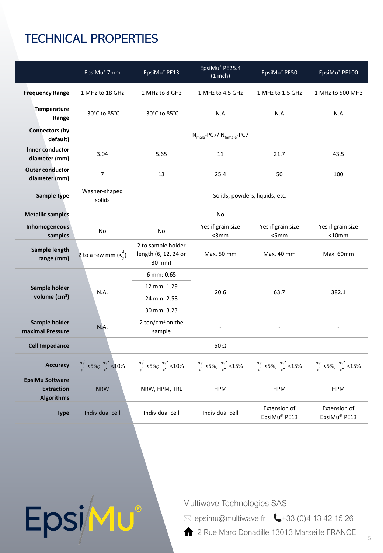# TECHNICAL PROPERTIES

Epsimu®

|                                                                  | EpsiMu® 7mm                                                                                                                     | EpsiMu® PE13                                                                                                | EpsiMu® PE25.4<br>$(1$ inch)                                               | EpsiMu® PE50                                                                                                  | EpsiMu® PE100                                                                                                 |  |  |  |  |  |
|------------------------------------------------------------------|---------------------------------------------------------------------------------------------------------------------------------|-------------------------------------------------------------------------------------------------------------|----------------------------------------------------------------------------|---------------------------------------------------------------------------------------------------------------|---------------------------------------------------------------------------------------------------------------|--|--|--|--|--|
| <b>Frequency Range</b>                                           | 1 MHz to 18 GHz                                                                                                                 | 1 MHz to 8 GHz                                                                                              | 1 MHz to 4.5 GHz                                                           | 1 MHz to 1.5 GHz                                                                                              | 1 MHz to 500 MHz                                                                                              |  |  |  |  |  |
| <b>Temperature</b><br>Range                                      | -30 $^{\circ}$ C to 85 $^{\circ}$ C                                                                                             | -30 $^{\circ}$ C to 85 $^{\circ}$ C                                                                         | N.A                                                                        | N.A                                                                                                           | N.A                                                                                                           |  |  |  |  |  |
| <b>Connectors (by</b><br>default)                                |                                                                                                                                 | $N_{male}$ -PC7/ $N_{female}$ -PC7                                                                          |                                                                            |                                                                                                               |                                                                                                               |  |  |  |  |  |
| <b>Inner conductor</b><br>diameter (mm)                          | 3.04                                                                                                                            | 5.65                                                                                                        | 11                                                                         | 21.7                                                                                                          | 43.5                                                                                                          |  |  |  |  |  |
| <b>Outer conductor</b><br>diameter (mm)                          | 7                                                                                                                               | 13                                                                                                          | 25.4                                                                       | 50                                                                                                            | 100                                                                                                           |  |  |  |  |  |
| Sample type                                                      | Washer-shaped<br>solids                                                                                                         | Solids, powders, liquids, etc.                                                                              |                                                                            |                                                                                                               |                                                                                                               |  |  |  |  |  |
| <b>Metallic samples</b>                                          |                                                                                                                                 | No                                                                                                          |                                                                            |                                                                                                               |                                                                                                               |  |  |  |  |  |
| Inhomogeneous<br>samples                                         | No                                                                                                                              | No                                                                                                          | Yes if grain size<br>$<$ 3 $mm$                                            | Yes if grain size<br><5mm                                                                                     | Yes if grain size<br>$<$ 10 $mm$                                                                              |  |  |  |  |  |
| Sample length<br>range (mm)                                      | 2 to a few mm $\left\langle \langle \frac{\lambda}{2} \rangle \right\rangle$                                                    | 2 to sample holder<br>length (6, 12, 24 or<br>30 mm)                                                        | Max. 50 mm                                                                 | Max. 40 mm                                                                                                    | Max. 60mm                                                                                                     |  |  |  |  |  |
|                                                                  |                                                                                                                                 | 6 mm: 0.65                                                                                                  |                                                                            |                                                                                                               | 382.1                                                                                                         |  |  |  |  |  |
| Sample holder                                                    | N.A.                                                                                                                            | 12 mm: 1.29                                                                                                 | 20.6                                                                       | 63.7                                                                                                          |                                                                                                               |  |  |  |  |  |
| volume $(cm3)$                                                   |                                                                                                                                 | 24 mm: 2.58                                                                                                 |                                                                            |                                                                                                               |                                                                                                               |  |  |  |  |  |
|                                                                  |                                                                                                                                 | 30 mm: 3.23                                                                                                 |                                                                            |                                                                                                               |                                                                                                               |  |  |  |  |  |
| Sample holder<br>maximal Pressure                                | N.A.                                                                                                                            | 2 ton/cm <sup>2</sup> on the<br>sample                                                                      |                                                                            |                                                                                                               |                                                                                                               |  |  |  |  |  |
| <b>Cell Impedance</b>                                            |                                                                                                                                 | 50 $\Omega$                                                                                                 |                                                                            |                                                                                                               |                                                                                                               |  |  |  |  |  |
| <b>Accuracy</b>                                                  | $\frac{\Delta \varepsilon^2}{\varepsilon^2}$ <5%; $\frac{\Delta \varepsilon^{\prime \prime}}{\varepsilon^{\prime \prime}}$ <10% | $\frac{\Delta \varepsilon^2}{c^2}$ <5%; $\frac{\Delta \varepsilon^{\prime \prime}}{c^{\prime \prime}}$ <10% | $\frac{\Delta \varepsilon'}{s}$ <5%; $\frac{\Delta \varepsilon''}{s}$ <15% | $\frac{\Delta \varepsilon^{'}}{\varepsilon^{'}}$ <5%; $\frac{\Delta \varepsilon^{''}}{\varepsilon^{''}}$ <15% | $\frac{\Delta \varepsilon^{'}}{\varepsilon^{'}}$ <5%; $\frac{\Delta \varepsilon^{''}}{\varepsilon^{''}}$ <15% |  |  |  |  |  |
| <b>EpsiMu Software</b><br><b>Extraction</b><br><b>Algorithms</b> | <b>NRW</b><br>NRW, HPM, TRL                                                                                                     |                                                                                                             | <b>HPM</b>                                                                 | <b>HPM</b>                                                                                                    | <b>HPM</b>                                                                                                    |  |  |  |  |  |
| <b>Type</b>                                                      | Individual cell<br>Individual cell                                                                                              |                                                                                                             | Individual cell                                                            | Extension of<br>EpsiMu <sup>®</sup> PE13                                                                      | Extension of<br>EpsiMu <sup>®</sup> PE13                                                                      |  |  |  |  |  |

Multiwave Technologies SAS

- $\boxtimes$  epsimu@multiwave.fr  $\leftarrow$ +33 (0)4 13 42 15 26
- **2** Rue Marc Donadille 13013 Marseille FRANCE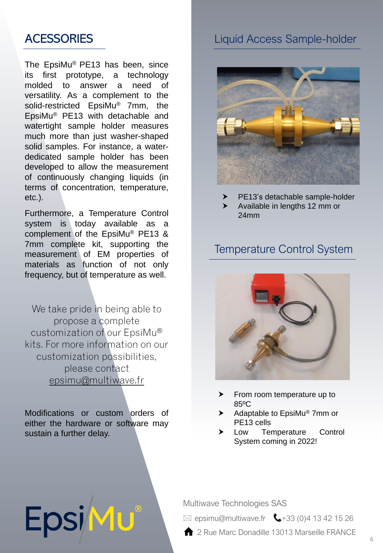# **ACESSORIES**

The EpsiMu® PE13 has been, since its first prototype, a technology molded to answer a need of versatility. As a complement to the solid-restricted EpsiMu® 7mm, the EpsiMu® PE13 with detachable and watertight sample holder measures much more than just washer-shaped solid samples. For instance, a waterdedicated sample holder has been developed to allow the measurement of continuously changing liquids (in terms of concentration, temperature, etc.).

Furthermore, a Temperature Control system is today available as a complement of the EpsiMu® PE13 & 7mm complete kit, supporting the measurement of EM properties of materials as function of not only frequency, but of temperature as well.

We take pride in being able to propose a complete customization of our EpsiMu® kits. For more information on our customization possibilities, please contact [epsimu@multiwave.fr](mailto:epsimu@multiwave.fr)

Modifications or custom orders of either the hardware or software may sustain a further delay.

EpsiMu®

### Liquid Access Sample-holder



PE13's detachable sample-holder

 Available in lengths 12 mm or 24mm

#### Temperature Control System



- $\blacktriangleright$  From room temperature up to 85ºC
- $\blacktriangleright$  Adaptable to EpsiMu® 7mm or PE13 cells
- > Low Temperature Control System coming in 2022!

Multiwave Technologies SAS

 $\boxtimes$  epsimu@multiwave.fr  $\bigcup$ +33 (0)4 13 42 15 26

2 Rue Marc Donadille 13013 Marseille FRANCE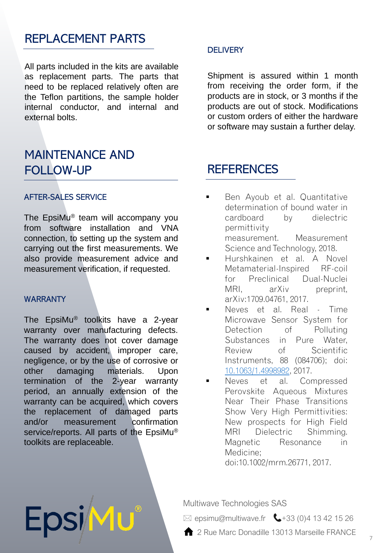### REPLACEMENT PARTS

All parts included in the kits are available as replacement parts. The parts that need to be replaced relatively often are the Teflon partitions, the sample holder internal conductor, and internal and external bolts.

### MAINTENANCE AND FOLLOW-UP

#### AFTER-SALES SERVICE

The EpsiMu® team will accompany you from software installation and VNA connection, to setting up the system and carrying out the first measurements. We also provide measurement advice and measurement verification, if requested.

#### WARRANTY

The EpsiMu® toolkits have a 2-year warranty over manufacturing defects. The warranty does not cover damage caused by accident, improper care, negligence, or by the use of corrosive or other damaging materials. Upon termination of the 2-year warranty period, an annually extension of the warranty can be acquired, which covers the replacement of damaged parts and/or measurement confirmation service/reports. All parts of the EpsiMu® toolkits are replaceable.

EpsiM

#### **DELIVERY**

Shipment is assured within 1 month from receiving the order form, if the products are in stock, or 3 months if the products are out of stock. Modifications or custom orders of either the hardware or software may sustain a further delay.

#### **REFERENCES**

- Ben Ayoub et al. Quantitative determination of bound water in cardboard by dielectric permittivity measurement. Measurement Science and Technology, 2018.
- Hurshkainen et al. A Novel Metamaterial-Inspired RF-coil for Preclinical Dual-Nuclei MRI, arXiv preprint, arXiv:1709.04761, 2017.
- Neves et al. Real Time Microwave Sensor System for Detection of Polluting Substances in Pure Water, Review of Scientific Instruments, 88 (084706); doi: [10.1063/1.4998982](http://dx.doi.org/10.1063/1.4998982), 2017.
- Neves et al. Compressed Perovskite Aqueous Mixtures Near Their Phase Transitions Show Very High Permittivities: New prospects for High Field MRI Dielectric Shimming. Magnetic Resonance in Medicine;

doi:10.1002/mrm.26771, 2017.

#### Multiwave Technologies SAS

- $\boxtimes$  epsimu@multiwave.fr  $\bigcup$ +33 (0)4 13 42 15 26
- 12 Rue Marc Donadille 13013 Marseille FRANCE